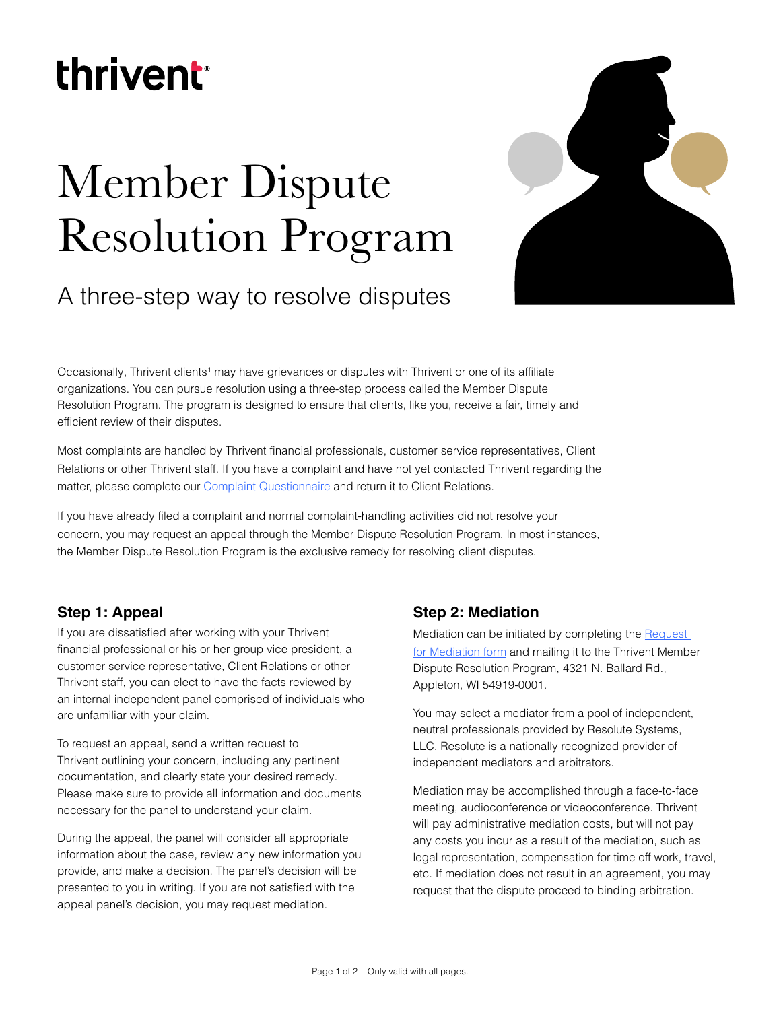## thrivent

# Member Dispute Resolution Program



## A three-step way to resolve disputes

Occasionally, Thrivent clients<sup>1</sup> may have grievances or disputes with Thrivent or one of its affiliate organizations. You can pursue resolution using a three-step process called the Member Dispute Resolution Program. The program is designed to ensure that clients, like you, receive a fair, timely and efficient review of their disputes.

Most complaints are handled by Thrivent financial professionals, customer service representatives, Client Relations or other Thrivent staff. If you have a complaint and have not yet contacted Thrivent regarding the matter, please complete our [Complaint Questionnaire](https://www.thrivent.com/files/23378.pdf) and return it to Client Relations.

If you have already filed a complaint and normal complaint-handling activities did not resolve your concern, you may request an appeal through the Member Dispute Resolution Program. In most instances, the Member Dispute Resolution Program is the exclusive remedy for resolving client disputes.

### **Step 1: Appeal**

If you are dissatisfied after working with your Thrivent financial professional or his or her group vice president, a customer service representative, Client Relations or other Thrivent staff, you can elect to have the facts reviewed by an internal independent panel comprised of individuals who are unfamiliar with your claim.

To request an appeal, send a written request to Thrivent outlining your concern, including any pertinent documentation, and clearly state your desired remedy. Please make sure to provide all information and documents necessary for the panel to understand your claim.

During the appeal, the panel will consider all appropriate information about the case, review any new information you provide, and make a decision. The panel's decision will be presented to you in writing. If you are not satisfied with the appeal panel's decision, you may request mediation.

### **Step 2: Mediation**

Mediation can be initiated by completing the [Request](https://www.thrivent.com/files/26909.pdf)  [for Mediation form](https://www.thrivent.com/files/26909.pdf) and mailing it to the Thrivent Member Dispute Resolution Program, 4321 N. Ballard Rd., Appleton, WI 54919-0001.

You may select a mediator from a pool of independent, neutral professionals provided by Resolute Systems, LLC. Resolute is a nationally recognized provider of independent mediators and arbitrators.

Mediation may be accomplished through a face-to-face meeting, audioconference or videoconference. Thrivent will pay administrative mediation costs, but will not pay any costs you incur as a result of the mediation, such as legal representation, compensation for time off work, travel, etc. If mediation does not result in an agreement, you may request that the dispute proceed to binding arbitration.